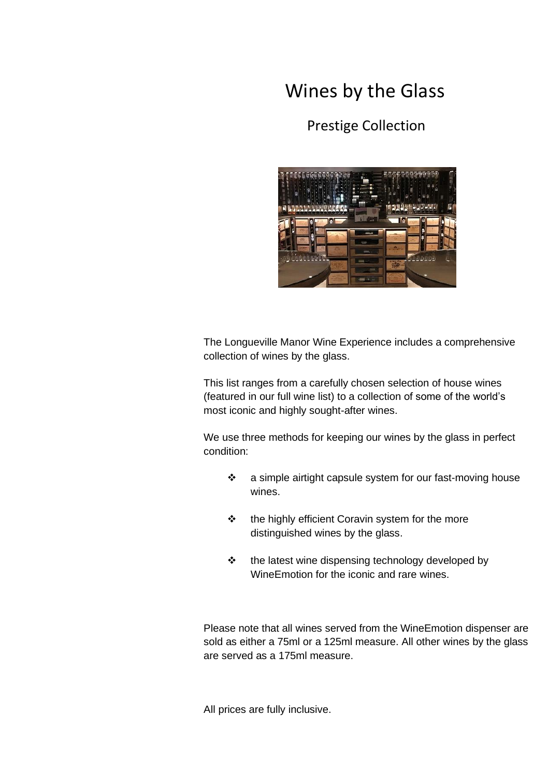## Wines by the Glass

## Prestige Collection



The Longueville Manor Wine Experience includes a comprehensive collection of wines by the glass.

This list ranges from a carefully chosen selection of house wines (featured in our full wine list) to a collection of some of the world's most iconic and highly sought-after wines.

We use three methods for keeping our wines by the glass in perfect condition:

- ❖ a simple airtight capsule system for our fast-moving house wines.
- ❖ the highly efficient Coravin system for the more distinguished wines by the glass.
- ❖ the latest wine dispensing technology developed by WineEmotion for the iconic and rare wines.

Please note that all wines served from the WineEmotion dispenser are sold as either a 75ml or a 125ml measure. All other wines by the glass are served as a 175ml measure.

All prices are fully inclusive.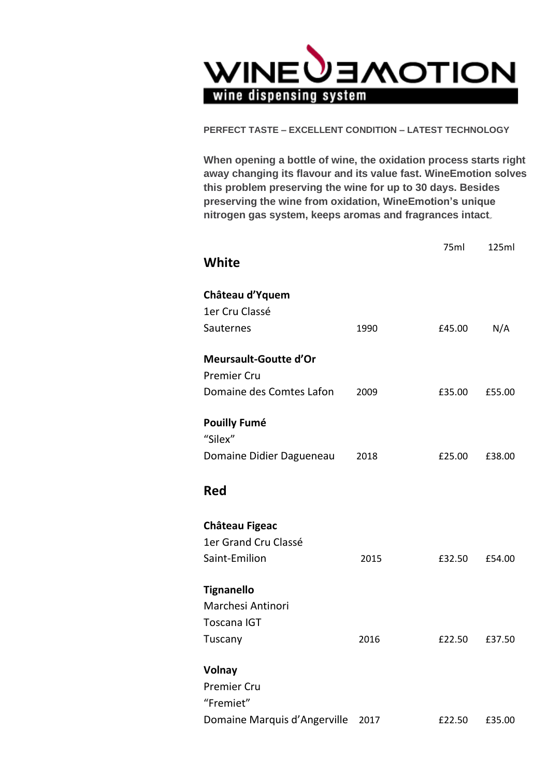

**PERFECT TASTE – EXCELLENT CONDITION – LATEST TECHNOLOGY**

**When opening a bottle of wine, the oxidation process starts right away changing its flavour and its value fast. WineEmotion solves this problem preserving the wine for up to 30 days. Besides preserving the wine from oxidation, WineEmotion's unique nitrogen gas system, keeps aromas and fragrances intact,.**

|                                |      | 75ml   | 125ml  |
|--------------------------------|------|--------|--------|
| White                          |      |        |        |
| Château d'Yquem                |      |        |        |
| 1er Cru Classé                 |      |        |        |
| Sauternes                      | 1990 | £45.00 | N/A    |
| Meursault-Goutte d'Or          |      |        |        |
| <b>Premier Cru</b>             |      |        |        |
| Domaine des Comtes Lafon       | 2009 | £35.00 | £55.00 |
| <b>Pouilly Fumé</b><br>"Silex" |      |        |        |
| Domaine Didier Dagueneau       | 2018 | £25.00 | £38.00 |
| <b>Red</b>                     |      |        |        |
| Château Figeac                 |      |        |        |
| 1er Grand Cru Classé           |      |        |        |
| Saint-Emilion                  | 2015 | £32.50 | £54.00 |
| <b>Tignanello</b>              |      |        |        |
| Marchesi Antinori              |      |        |        |
| <b>Toscana IGT</b>             |      |        |        |
| Tuscany                        | 2016 | £22.50 | £37.50 |
| Volnay                         |      |        |        |
| <b>Premier Cru</b>             |      |        |        |
| "Fremiet"                      |      |        |        |
| Domaine Marquis d'Angerville   | 2017 | £22.50 | £35.00 |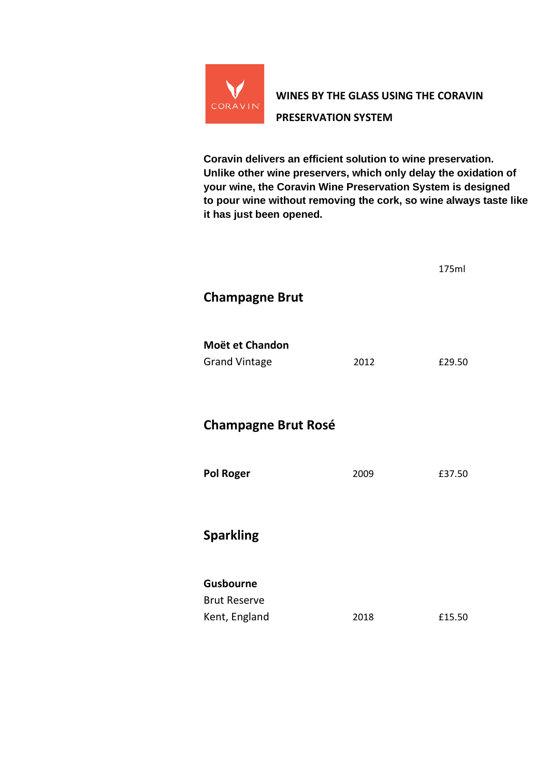

**Coravin delivers an efficient solution to wine preservation. Unlike other wine preservers, which only delay the oxidation of your wine, the Coravin Wine Preservation System is designed to pour wine without removing the cork, so wine always taste like it has just been opened.**

|                            |      | 175ml  |
|----------------------------|------|--------|
| <b>Champagne Brut</b>      |      |        |
|                            |      |        |
| Moët et Chandon            |      |        |
| <b>Grand Vintage</b>       | 2012 | £29.50 |
|                            |      |        |
| <b>Champagne Brut Rosé</b> |      |        |
|                            |      |        |
| <b>Pol Roger</b>           | 2009 | £37.50 |
|                            |      |        |
| <b>Sparkling</b>           |      |        |
|                            |      |        |
| Gusbourne                  |      |        |
| <b>Brut Reserve</b>        |      |        |
| Kent, England              | 2018 | £15.50 |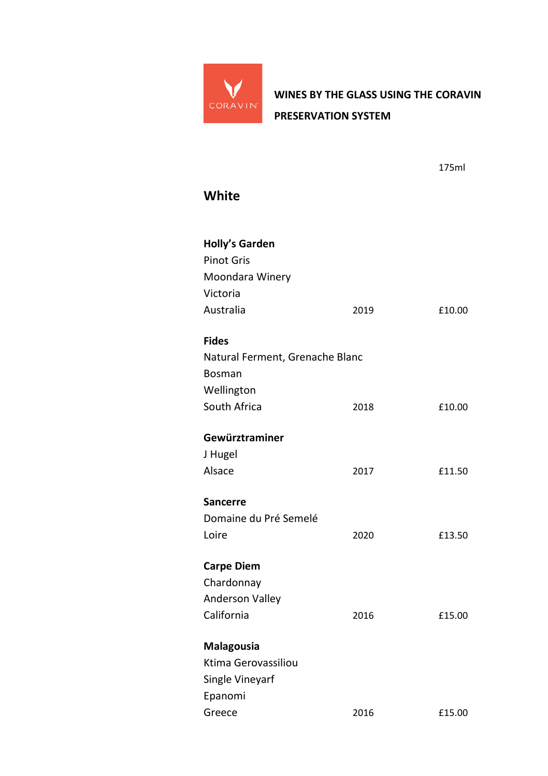

175ml

## **White**

| Holly's Garden<br><b>Pinot Gris</b> |      |        |
|-------------------------------------|------|--------|
| Moondara Winery                     |      |        |
| Victoria                            |      |        |
| Australia                           | 2019 | £10.00 |
| <b>Fides</b>                        |      |        |
| Natural Ferment, Grenache Blanc     |      |        |
| <b>Bosman</b>                       |      |        |
| Wellington                          |      |        |
| South Africa                        | 2018 | £10.00 |
| Gewürztraminer                      |      |        |
| J Hugel                             |      |        |
| Alsace                              | 2017 | £11.50 |
| <b>Sancerre</b>                     |      |        |
| Domaine du Pré Semelé               |      |        |
| Loire                               | 2020 | £13.50 |
| <b>Carpe Diem</b>                   |      |        |
| Chardonnay                          |      |        |
| <b>Anderson Valley</b>              |      |        |
| California                          | 2016 | £15.00 |
| Malagousia                          |      |        |
| Ktima Gerovassiliou                 |      |        |
| Single Vineyarf                     |      |        |
| Epanomi                             |      |        |
| Greece                              | 2016 | £15.00 |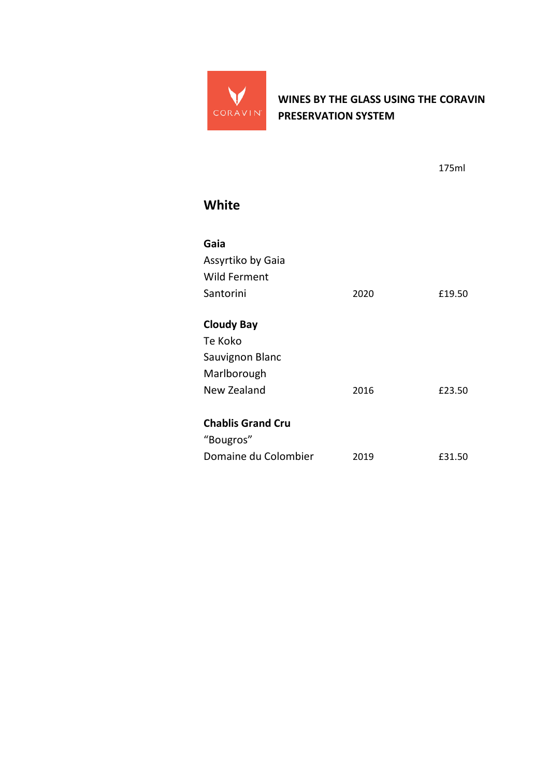

175ml

## **White**

| Gaia<br>Assyrtiko by Gaia |      |        |
|---------------------------|------|--------|
| <b>Wild Ferment</b>       |      |        |
| Santorini                 | 2020 | £19.50 |
| <b>Cloudy Bay</b>         |      |        |
| Te Koko                   |      |        |
| Sauvignon Blanc           |      |        |
| Marlborough               |      |        |
| New Zealand               | 2016 | £23.50 |
| <b>Chablis Grand Cru</b>  |      |        |
| "Bougros"                 |      |        |
| Domaine du Colombier      | 2019 | £31.50 |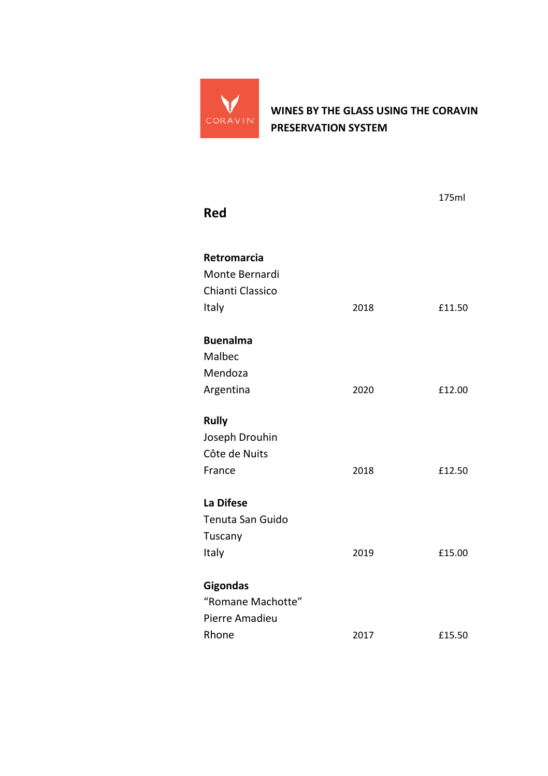

| Red                |      | 175ml  |
|--------------------|------|--------|
| <b>Retromarcia</b> |      |        |
| Monte Bernardi     |      |        |
| Chianti Classico   |      |        |
| Italy              | 2018 | £11.50 |
| <b>Buenalma</b>    |      |        |
| Malbec             |      |        |
| Mendoza            |      |        |
| Argentina          | 2020 | £12.00 |
| Rully              |      |        |
| Joseph Drouhin     |      |        |
| Côte de Nuits      |      |        |
| France             | 2018 | £12.50 |
| La Difese          |      |        |
| Tenuta San Guido   |      |        |
| Tuscany            |      |        |
| Italy              | 2019 | £15.00 |
| <b>Gigondas</b>    |      |        |
| "Romane Machotte"  |      |        |
| Pierre Amadieu     |      |        |
| Rhone              | 2017 | £15.50 |